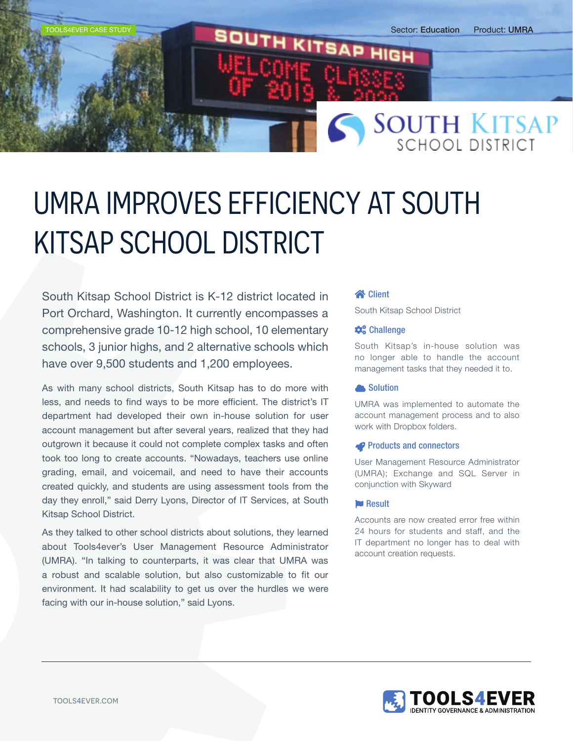

# UMRA IMPROVES EFFICIENCY AT SOUTH KITSAP SCHOOL DISTRICT

South Kitsap School District is K-12 district located in Port Orchard, Washington. It currently encompasses a comprehensive grade 10-12 high school, 10 elementary schools, 3 junior highs, and 2 alternative schools which have over 9,500 students and 1,200 employees.

As with many school districts, South Kitsap has to do more with less, and needs to find ways to be more efficient. The district's IT department had developed their own in-house solution for user account management but after several years, realized that they had outgrown it because it could not complete complex tasks and often took too long to create accounts. "Nowadays, teachers use online grading, email, and voicemail, and need to have their accounts created quickly, and students are using assessment tools from the day they enroll," said Derry Lyons, Director of IT Services, at South Kitsap School District.

As they talked to other school districts about solutions, they learned about Tools4ever's User Management Resource Administrator (UMRA). "In talking to counterparts, it was clear that UMRA was a robust and scalable solution, but also customizable to fit our environment. It had scalability to get us over the hurdles we were facing with our in-house solution," said Lyons.

### **Example 12**

South Kitsap School District

### $\clubsuit$ <sup>e</sup> Challenge

South Kitsap's in-house solution was no longer able to handle the account management tasks that they needed it to.

### **A** Solution

UMRA was implemented to automate the account management process and to also work with Dropbox folders.

#### **P** Products and connectors

User Management Resource Administrator (UMRA); Exchange and SQL Server in conjunction with Skyward

### **Result**

Accounts are now created error free within 24 hours for students and staff, and the IT department no longer has to deal with account creation requests.